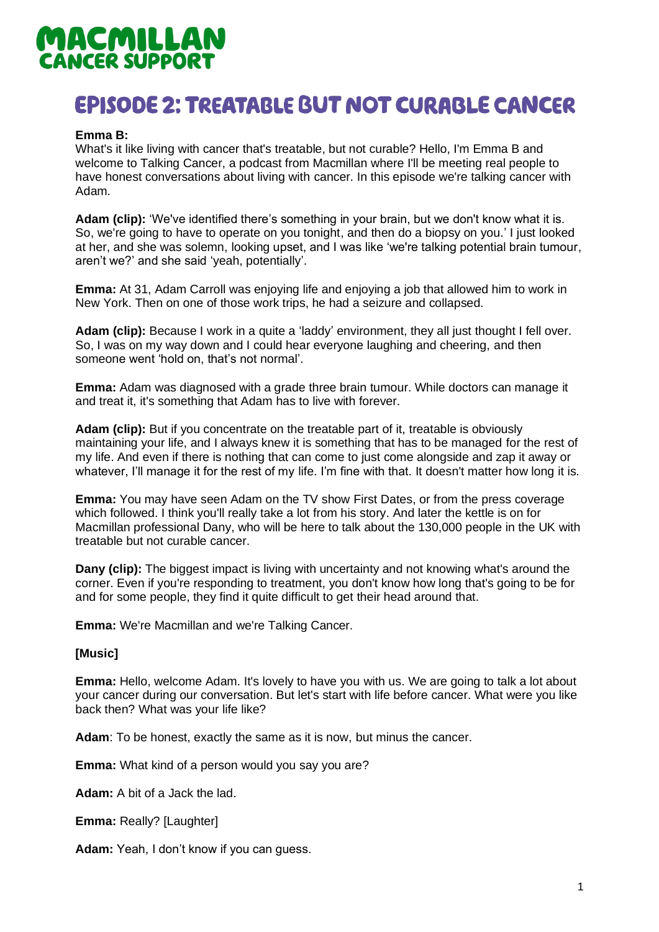# MACMILLAN **CANCER SUPPORT**

## **EPISODE 2: TREATABLE BUT NOT CURABLE CANCER**

## **Emma B:**

What's it like living with cancer that's treatable, but not curable? Hello, I'm Emma B and welcome to Talking Cancer, a podcast from Macmillan where I'll be meeting real people to have honest conversations about living with cancer. In this episode we're talking cancer with Adam.

**Adam (clip):** 'We've identified there's something in your brain, but we don't know what it is. So, we're going to have to operate on you tonight, and then do a biopsy on you.' I just looked at her, and she was solemn, looking upset, and I was like 'we're talking potential brain tumour, aren't we?' and she said 'yeah, potentially'.

**Emma:** At 31, Adam Carroll was enjoying life and enjoying a job that allowed him to work in New York. Then on one of those work trips, he had a seizure and collapsed.

**Adam (clip):** Because I work in a quite a 'laddy' environment, they all just thought I fell over. So, I was on my way down and I could hear everyone laughing and cheering, and then someone went 'hold on, that's not normal'.

**Emma:** Adam was diagnosed with a grade three brain tumour. While doctors can manage it and treat it, it's something that Adam has to live with forever.

**Adam (clip):** But if you concentrate on the treatable part of it, treatable is obviously maintaining your life, and I always knew it is something that has to be managed for the rest of my life. And even if there is nothing that can come to just come alongside and zap it away or whatever, I'll manage it for the rest of my life. I'm fine with that. It doesn't matter how long it is.

**Emma:** You may have seen Adam on the TV show First Dates, or from the press coverage which followed. I think you'll really take a lot from his story. And later the kettle is on for Macmillan professional Dany, who will be here to talk about the 130,000 people in the UK with treatable but not curable cancer.

**Dany (clip):** The biggest impact is living with uncertainty and not knowing what's around the corner. Even if you're responding to treatment, you don't know how long that's going to be for and for some people, they find it quite difficult to get their head around that.

**Emma:** We're Macmillan and we're Talking Cancer.

## **[Music]**

**Emma:** Hello, welcome Adam. It's lovely to have you with us. We are going to talk a lot about your cancer during our conversation. But let's start with life before cancer. What were you like back then? What was your life like?

**Adam**: To be honest, exactly the same as it is now, but minus the cancer.

**Emma:** What kind of a person would you say you are?

**Adam:** A bit of a Jack the lad.

**Emma:** Really? [Laughter]

**Adam:** Yeah, I don't know if you can guess.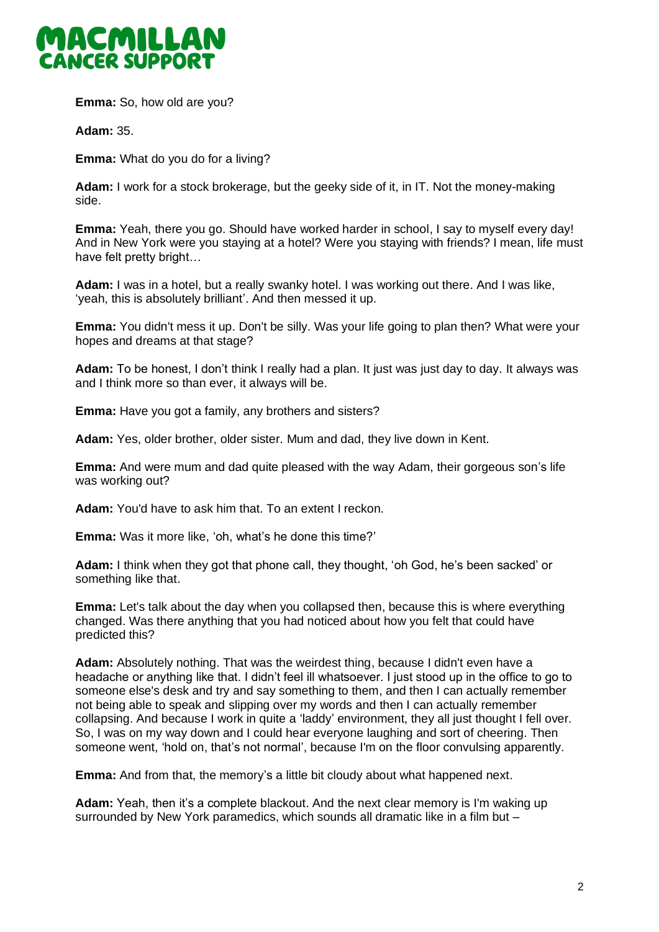

**Emma:** So, how old are you?

**Adam:** 35.

**Emma:** What do you do for a living?

**Adam:** I work for a stock brokerage, but the geeky side of it, in IT. Not the money-making side.

**Emma:** Yeah, there you go. Should have worked harder in school, I say to myself every day! And in New York were you staying at a hotel? Were you staying with friends? I mean, life must have felt pretty bright…

**Adam:** I was in a hotel, but a really swanky hotel. I was working out there. And I was like, 'yeah, this is absolutely brilliant'. And then messed it up.

**Emma:** You didn't mess it up. Don't be silly. Was your life going to plan then? What were your hopes and dreams at that stage?

**Adam:** To be honest, I don't think I really had a plan. It just was just day to day. It always was and I think more so than ever, it always will be.

**Emma:** Have you got a family, any brothers and sisters?

**Adam:** Yes, older brother, older sister. Mum and dad, they live down in Kent.

**Emma:** And were mum and dad quite pleased with the way Adam, their gorgeous son's life was working out?

**Adam:** You'd have to ask him that. To an extent I reckon.

**Emma:** Was it more like, 'oh, what's he done this time?'

**Adam:** I think when they got that phone call, they thought, 'oh God, he's been sacked' or something like that.

**Emma:** Let's talk about the day when you collapsed then, because this is where everything changed. Was there anything that you had noticed about how you felt that could have predicted this?

**Adam:** Absolutely nothing. That was the weirdest thing, because I didn't even have a headache or anything like that. I didn't feel ill whatsoever. I just stood up in the office to go to someone else's desk and try and say something to them, and then I can actually remember not being able to speak and slipping over my words and then I can actually remember collapsing. And because I work in quite a 'laddy' environment, they all just thought I fell over. So, I was on my way down and I could hear everyone laughing and sort of cheering. Then someone went, 'hold on, that's not normal', because I'm on the floor convulsing apparently.

**Emma:** And from that, the memory's a little bit cloudy about what happened next.

**Adam:** Yeah, then it's a complete blackout. And the next clear memory is I'm waking up surrounded by New York paramedics, which sounds all dramatic like in a film but –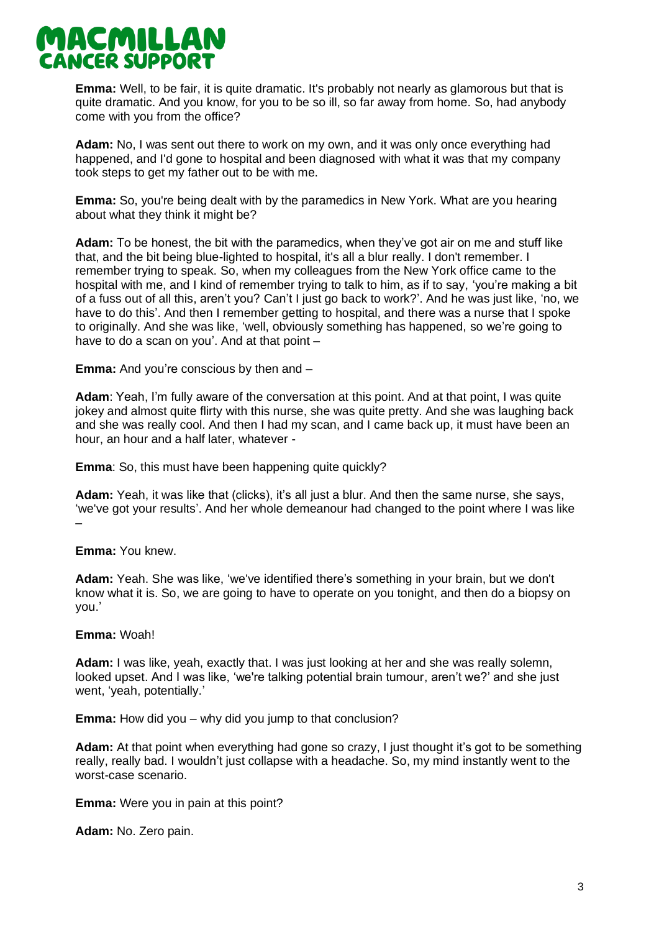

**Emma:** Well, to be fair, it is quite dramatic. It's probably not nearly as glamorous but that is quite dramatic. And you know, for you to be so ill, so far away from home. So, had anybody come with you from the office?

**Adam:** No, I was sent out there to work on my own, and it was only once everything had happened, and I'd gone to hospital and been diagnosed with what it was that my company took steps to get my father out to be with me.

**Emma:** So, you're being dealt with by the paramedics in New York. What are you hearing about what they think it might be?

**Adam:** To be honest, the bit with the paramedics, when they've got air on me and stuff like that, and the bit being blue-lighted to hospital, it's all a blur really. I don't remember. I remember trying to speak. So, when my colleagues from the New York office came to the hospital with me, and I kind of remember trying to talk to him, as if to say, 'you're making a bit of a fuss out of all this, aren't you? Can't I just go back to work?'. And he was just like, 'no, we have to do this'. And then I remember getting to hospital, and there was a nurse that I spoke to originally. And she was like, 'well, obviously something has happened, so we're going to have to do a scan on you'. And at that point –

**Emma:** And you're conscious by then and –

**Adam**: Yeah, I'm fully aware of the conversation at this point. And at that point, I was quite jokey and almost quite flirty with this nurse, she was quite pretty. And she was laughing back and she was really cool. And then I had my scan, and I came back up, it must have been an hour, an hour and a half later, whatever -

**Emma**: So, this must have been happening quite quickly?

**Adam:** Yeah, it was like that (clicks), it's all just a blur. And then the same nurse, she says, 'we've got your results'. And her whole demeanour had changed to the point where I was like –

## **Emma:** You knew.

**Adam:** Yeah. She was like, 'we've identified there's something in your brain, but we don't know what it is. So, we are going to have to operate on you tonight, and then do a biopsy on you.'

#### **Emma:** Woah!

**Adam:** I was like, yeah, exactly that. I was just looking at her and she was really solemn, looked upset. And I was like, 'we're talking potential brain tumour, aren't we?' and she just went, 'yeah, potentially.'

**Emma:** How did you – why did you jump to that conclusion?

**Adam:** At that point when everything had gone so crazy, I just thought it's got to be something really, really bad. I wouldn't just collapse with a headache. So, my mind instantly went to the worst-case scenario.

**Emma:** Were you in pain at this point?

**Adam:** No. Zero pain.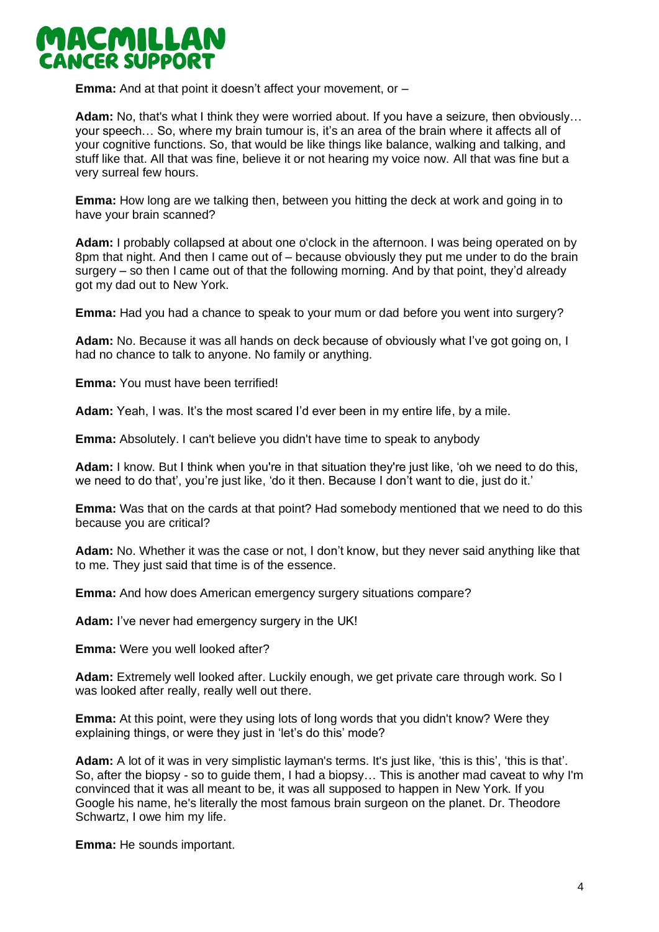

**Emma:** And at that point it doesn't affect your movement, or –

**Adam:** No, that's what I think they were worried about. If you have a seizure, then obviously… your speech… So, where my brain tumour is, it's an area of the brain where it affects all of your cognitive functions. So, that would be like things like balance, walking and talking, and stuff like that. All that was fine, believe it or not hearing my voice now. All that was fine but a very surreal few hours.

**Emma:** How long are we talking then, between you hitting the deck at work and going in to have your brain scanned?

**Adam:** I probably collapsed at about one o'clock in the afternoon. I was being operated on by 8pm that night. And then I came out of – because obviously they put me under to do the brain surgery – so then I came out of that the following morning. And by that point, they'd already got my dad out to New York.

**Emma:** Had you had a chance to speak to your mum or dad before you went into surgery?

**Adam:** No. Because it was all hands on deck because of obviously what I've got going on, I had no chance to talk to anyone. No family or anything.

**Emma:** You must have been terrified!

**Adam:** Yeah, I was. It's the most scared I'd ever been in my entire life, by a mile.

**Emma:** Absolutely. I can't believe you didn't have time to speak to anybody

**Adam:** I know. But I think when you're in that situation they're just like, 'oh we need to do this, we need to do that', you're just like, 'do it then. Because I don't want to die, just do it.'

**Emma:** Was that on the cards at that point? Had somebody mentioned that we need to do this because you are critical?

**Adam:** No. Whether it was the case or not, I don't know, but they never said anything like that to me. They just said that time is of the essence.

**Emma:** And how does American emergency surgery situations compare?

**Adam:** I've never had emergency surgery in the UK!

**Emma:** Were you well looked after?

**Adam:** Extremely well looked after. Luckily enough, we get private care through work. So I was looked after really, really well out there.

**Emma:** At this point, were they using lots of long words that you didn't know? Were they explaining things, or were they just in 'let's do this' mode?

**Adam:** A lot of it was in very simplistic layman's terms. It's just like, 'this is this', 'this is that'. So, after the biopsy - so to guide them, I had a biopsy… This is another mad caveat to why I'm convinced that it was all meant to be, it was all supposed to happen in New York. If you Google his name, he's literally the most famous brain surgeon on the planet. Dr. Theodore Schwartz, I owe him my life.

**Emma:** He sounds important.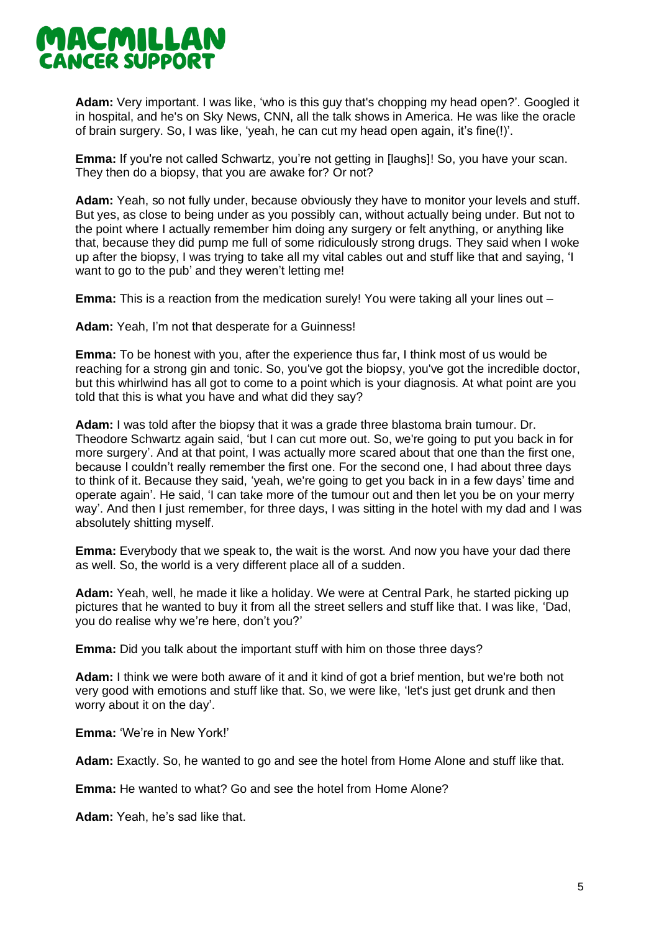

**Adam:** Very important. I was like, 'who is this guy that's chopping my head open?'. Googled it in hospital, and he's on Sky News, CNN, all the talk shows in America. He was like the oracle of brain surgery. So, I was like, 'yeah, he can cut my head open again, it's fine(!)'.

**Emma:** If you're not called Schwartz, you're not getting in [laughs]! So, you have your scan. They then do a biopsy, that you are awake for? Or not?

**Adam:** Yeah, so not fully under, because obviously they have to monitor your levels and stuff. But yes, as close to being under as you possibly can, without actually being under. But not to the point where I actually remember him doing any surgery or felt anything, or anything like that, because they did pump me full of some ridiculously strong drugs. They said when I woke up after the biopsy, I was trying to take all my vital cables out and stuff like that and saying, 'I want to go to the pub' and they weren't letting me!

**Emma:** This is a reaction from the medication surely! You were taking all your lines out –

**Adam:** Yeah, I'm not that desperate for a Guinness!

**Emma:** To be honest with you, after the experience thus far, I think most of us would be reaching for a strong gin and tonic. So, you've got the biopsy, you've got the incredible doctor, but this whirlwind has all got to come to a point which is your diagnosis. At what point are you told that this is what you have and what did they say?

**Adam:** I was told after the biopsy that it was a grade three blastoma brain tumour. Dr. Theodore Schwartz again said, 'but I can cut more out. So, we're going to put you back in for more surgery'. And at that point, I was actually more scared about that one than the first one, because I couldn't really remember the first one. For the second one, I had about three days to think of it. Because they said, 'yeah, we're going to get you back in in a few days' time and operate again'. He said, 'I can take more of the tumour out and then let you be on your merry way'. And then I just remember, for three days, I was sitting in the hotel with my dad and I was absolutely shitting myself.

**Emma:** Everybody that we speak to, the wait is the worst. And now you have your dad there as well. So, the world is a very different place all of a sudden.

**Adam:** Yeah, well, he made it like a holiday. We were at Central Park, he started picking up pictures that he wanted to buy it from all the street sellers and stuff like that. I was like, 'Dad, you do realise why we're here, don't you?'

**Emma:** Did you talk about the important stuff with him on those three days?

**Adam:** I think we were both aware of it and it kind of got a brief mention, but we're both not very good with emotions and stuff like that. So, we were like, 'let's just get drunk and then worry about it on the day'.

**Emma:** 'We're in New York!'

**Adam:** Exactly. So, he wanted to go and see the hotel from Home Alone and stuff like that.

**Emma:** He wanted to what? Go and see the hotel from Home Alone?

**Adam:** Yeah, he's sad like that.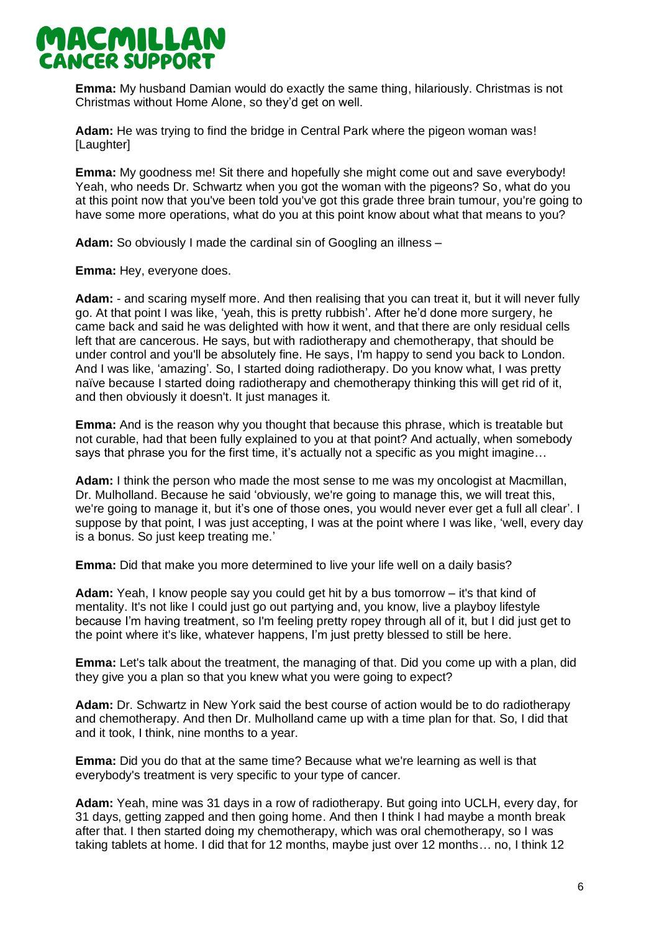

**Emma:** My husband Damian would do exactly the same thing, hilariously. Christmas is not Christmas without Home Alone, so they'd get on well.

**Adam:** He was trying to find the bridge in Central Park where the pigeon woman was! [Laughter]

**Emma:** My goodness me! Sit there and hopefully she might come out and save everybody! Yeah, who needs Dr. Schwartz when you got the woman with the pigeons? So, what do you at this point now that you've been told you've got this grade three brain tumour, you're going to have some more operations, what do you at this point know about what that means to you?

**Adam:** So obviously I made the cardinal sin of Googling an illness –

**Emma:** Hey, everyone does.

**Adam:** - and scaring myself more. And then realising that you can treat it, but it will never fully go. At that point I was like, 'yeah, this is pretty rubbish'. After he'd done more surgery, he came back and said he was delighted with how it went, and that there are only residual cells left that are cancerous. He says, but with radiotherapy and chemotherapy, that should be under control and you'll be absolutely fine. He says, I'm happy to send you back to London. And I was like, 'amazing'. So, I started doing radiotherapy. Do you know what, I was pretty naïve because I started doing radiotherapy and chemotherapy thinking this will get rid of it, and then obviously it doesn't. It just manages it.

**Emma:** And is the reason why you thought that because this phrase, which is treatable but not curable, had that been fully explained to you at that point? And actually, when somebody says that phrase you for the first time, it's actually not a specific as you might imagine...

**Adam:** I think the person who made the most sense to me was my oncologist at Macmillan, Dr. Mulholland. Because he said 'obviously, we're going to manage this, we will treat this, we're going to manage it, but it's one of those ones, you would never ever get a full all clear'. I suppose by that point, I was just accepting, I was at the point where I was like, 'well, every day is a bonus. So just keep treating me.'

**Emma:** Did that make you more determined to live your life well on a daily basis?

**Adam:** Yeah, I know people say you could get hit by a bus tomorrow – it's that kind of mentality. It's not like I could just go out partying and, you know, live a playboy lifestyle because I'm having treatment, so I'm feeling pretty ropey through all of it, but I did just get to the point where it's like, whatever happens, I'm just pretty blessed to still be here.

**Emma:** Let's talk about the treatment, the managing of that. Did you come up with a plan, did they give you a plan so that you knew what you were going to expect?

**Adam:** Dr. Schwartz in New York said the best course of action would be to do radiotherapy and chemotherapy. And then Dr. Mulholland came up with a time plan for that. So, I did that and it took, I think, nine months to a year.

**Emma:** Did you do that at the same time? Because what we're learning as well is that everybody's treatment is very specific to your type of cancer.

**Adam:** Yeah, mine was 31 days in a row of radiotherapy. But going into UCLH, every day, for 31 days, getting zapped and then going home. And then I think I had maybe a month break after that. I then started doing my chemotherapy, which was oral chemotherapy, so I was taking tablets at home. I did that for 12 months, maybe just over 12 months… no, I think 12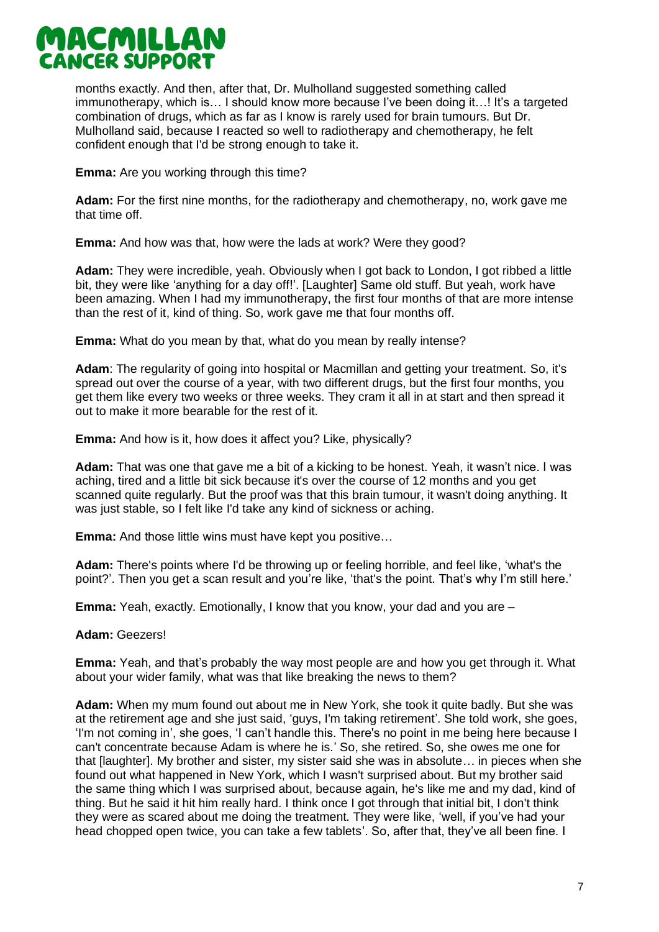

months exactly. And then, after that, Dr. Mulholland suggested something called immunotherapy, which is… I should know more because I've been doing it…! It's a targeted combination of drugs, which as far as I know is rarely used for brain tumours. But Dr. Mulholland said, because I reacted so well to radiotherapy and chemotherapy, he felt confident enough that I'd be strong enough to take it.

**Emma:** Are you working through this time?

**Adam:** For the first nine months, for the radiotherapy and chemotherapy, no, work gave me that time off.

**Emma:** And how was that, how were the lads at work? Were they good?

**Adam:** They were incredible, yeah. Obviously when I got back to London, I got ribbed a little bit, they were like 'anything for a day off!'. [Laughter] Same old stuff. But yeah, work have been amazing. When I had my immunotherapy, the first four months of that are more intense than the rest of it, kind of thing. So, work gave me that four months off.

**Emma:** What do you mean by that, what do you mean by really intense?

**Adam**: The regularity of going into hospital or Macmillan and getting your treatment. So, it's spread out over the course of a year, with two different drugs, but the first four months, you get them like every two weeks or three weeks. They cram it all in at start and then spread it out to make it more bearable for the rest of it.

**Emma:** And how is it, how does it affect you? Like, physically?

**Adam:** That was one that gave me a bit of a kicking to be honest. Yeah, it wasn't nice. I was aching, tired and a little bit sick because it's over the course of 12 months and you get scanned quite regularly. But the proof was that this brain tumour, it wasn't doing anything. It was just stable, so I felt like I'd take any kind of sickness or aching.

**Emma:** And those little wins must have kept you positive…

**Adam:** There's points where I'd be throwing up or feeling horrible, and feel like, 'what's the point?'. Then you get a scan result and you're like, 'that's the point. That's why I'm still here.'

**Emma:** Yeah, exactly. Emotionally, I know that you know, your dad and you are –

## **Adam:** Geezers!

**Emma:** Yeah, and that's probably the way most people are and how you get through it. What about your wider family, what was that like breaking the news to them?

**Adam:** When my mum found out about me in New York, she took it quite badly. But she was at the retirement age and she just said, 'guys, I'm taking retirement'. She told work, she goes, 'I'm not coming in', she goes, 'I can't handle this. There's no point in me being here because I can't concentrate because Adam is where he is.' So, she retired. So, she owes me one for that [laughter]. My brother and sister, my sister said she was in absolute… in pieces when she found out what happened in New York, which I wasn't surprised about. But my brother said the same thing which I was surprised about, because again, he's like me and my dad, kind of thing. But he said it hit him really hard. I think once I got through that initial bit, I don't think they were as scared about me doing the treatment. They were like, 'well, if you've had your head chopped open twice, you can take a few tablets'. So, after that, they've all been fine. I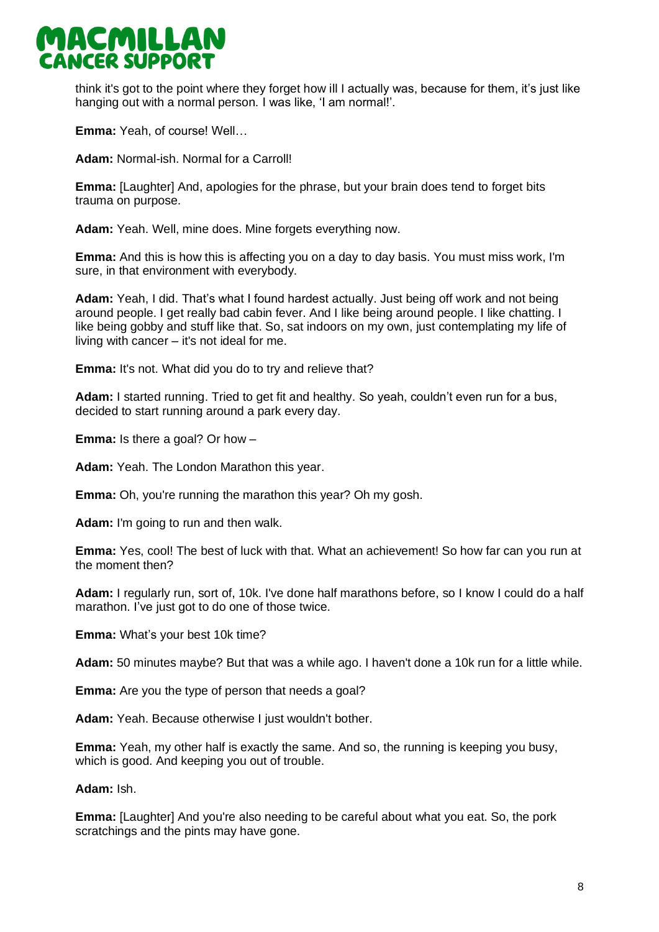

think it's got to the point where they forget how ill I actually was, because for them, it's just like hanging out with a normal person. I was like, 'I am normal!'.

**Emma:** Yeah, of course! Well…

**Adam:** Normal-ish. Normal for a Carroll!

**Emma:** [Laughter] And, apologies for the phrase, but your brain does tend to forget bits trauma on purpose.

**Adam:** Yeah. Well, mine does. Mine forgets everything now.

**Emma:** And this is how this is affecting you on a day to day basis. You must miss work, I'm sure, in that environment with everybody.

**Adam:** Yeah, I did. That's what I found hardest actually. Just being off work and not being around people. I get really bad cabin fever. And I like being around people. I like chatting. I like being gobby and stuff like that. So, sat indoors on my own, just contemplating my life of living with cancer – it's not ideal for me.

**Emma:** It's not. What did you do to try and relieve that?

**Adam:** I started running. Tried to get fit and healthy. So yeah, couldn't even run for a bus, decided to start running around a park every day.

**Emma:** Is there a goal? Or how –

**Adam:** Yeah. The London Marathon this year.

**Emma:** Oh, you're running the marathon this year? Oh my gosh.

**Adam:** I'm going to run and then walk.

**Emma:** Yes, cool! The best of luck with that. What an achievement! So how far can you run at the moment then?

**Adam:** I regularly run, sort of, 10k. I've done half marathons before, so I know I could do a half marathon. I've just got to do one of those twice.

**Emma:** What's your best 10k time?

**Adam:** 50 minutes maybe? But that was a while ago. I haven't done a 10k run for a little while.

**Emma:** Are you the type of person that needs a goal?

**Adam:** Yeah. Because otherwise I just wouldn't bother.

**Emma:** Yeah, my other half is exactly the same. And so, the running is keeping you busy, which is good. And keeping you out of trouble.

**Adam:** Ish.

**Emma:** [Laughter] And you're also needing to be careful about what you eat. So, the pork scratchings and the pints may have gone.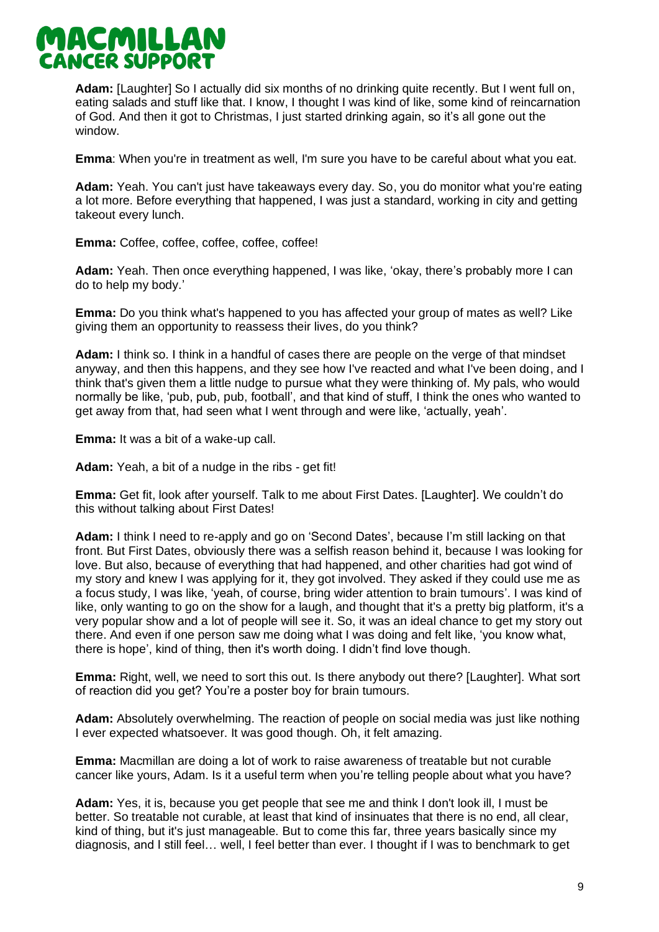

**Adam:** [Laughter] So I actually did six months of no drinking quite recently. But I went full on, eating salads and stuff like that. I know, I thought I was kind of like, some kind of reincarnation of God. And then it got to Christmas, I just started drinking again, so it's all gone out the window.

**Emma**: When you're in treatment as well, I'm sure you have to be careful about what you eat.

**Adam:** Yeah. You can't just have takeaways every day. So, you do monitor what you're eating a lot more. Before everything that happened, I was just a standard, working in city and getting takeout every lunch.

**Emma:** Coffee, coffee, coffee, coffee, coffee!

**Adam:** Yeah. Then once everything happened, I was like, 'okay, there's probably more I can do to help my body.'

**Emma:** Do you think what's happened to you has affected your group of mates as well? Like giving them an opportunity to reassess their lives, do you think?

**Adam:** I think so. I think in a handful of cases there are people on the verge of that mindset anyway, and then this happens, and they see how I've reacted and what I've been doing, and I think that's given them a little nudge to pursue what they were thinking of. My pals, who would normally be like, 'pub, pub, pub, football', and that kind of stuff, I think the ones who wanted to get away from that, had seen what I went through and were like, 'actually, yeah'.

**Emma:** It was a bit of a wake-up call.

**Adam:** Yeah, a bit of a nudge in the ribs - get fit!

**Emma:** Get fit, look after yourself. Talk to me about First Dates. [Laughter]. We couldn't do this without talking about First Dates!

**Adam:** I think I need to re-apply and go on 'Second Dates', because I'm still lacking on that front. But First Dates, obviously there was a selfish reason behind it, because I was looking for love. But also, because of everything that had happened, and other charities had got wind of my story and knew I was applying for it, they got involved. They asked if they could use me as a focus study, I was like, 'yeah, of course, bring wider attention to brain tumours'. I was kind of like, only wanting to go on the show for a laugh, and thought that it's a pretty big platform, it's a very popular show and a lot of people will see it. So, it was an ideal chance to get my story out there. And even if one person saw me doing what I was doing and felt like, 'you know what, there is hope', kind of thing, then it's worth doing. I didn't find love though.

**Emma:** Right, well, we need to sort this out. Is there anybody out there? [Laughter]. What sort of reaction did you get? You're a poster boy for brain tumours.

**Adam:** Absolutely overwhelming. The reaction of people on social media was just like nothing I ever expected whatsoever. It was good though. Oh, it felt amazing.

**Emma:** Macmillan are doing a lot of work to raise awareness of treatable but not curable cancer like yours, Adam. Is it a useful term when you're telling people about what you have?

**Adam:** Yes, it is, because you get people that see me and think I don't look ill, I must be better. So treatable not curable, at least that kind of insinuates that there is no end, all clear, kind of thing, but it's just manageable. But to come this far, three years basically since my diagnosis, and I still feel… well, I feel better than ever. I thought if I was to benchmark to get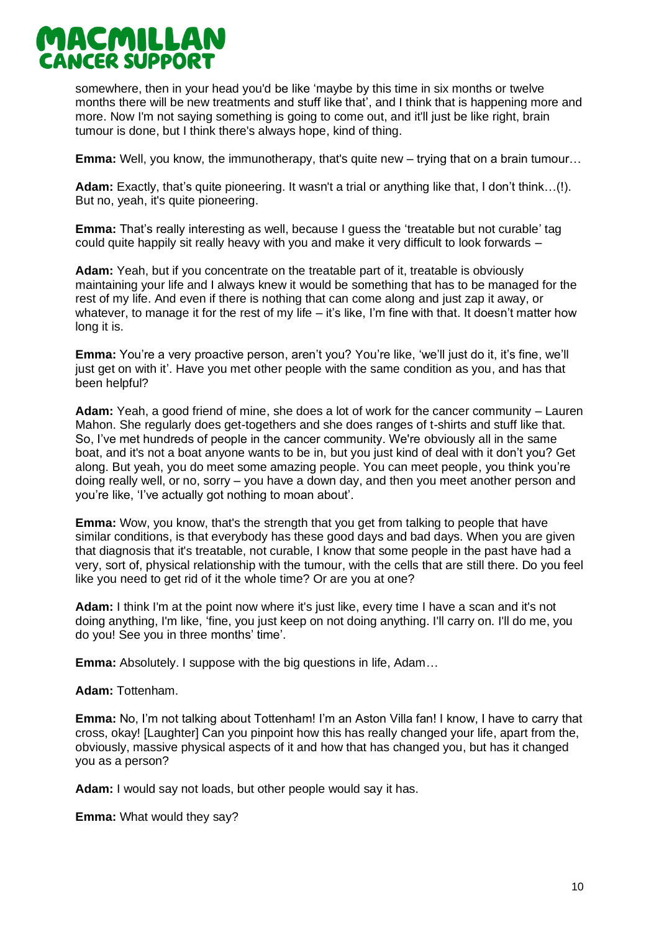

somewhere, then in your head you'd be like 'maybe by this time in six months or twelve months there will be new treatments and stuff like that', and I think that is happening more and more. Now I'm not saying something is going to come out, and it'll just be like right, brain tumour is done, but I think there's always hope, kind of thing.

**Emma:** Well, you know, the immunotherapy, that's quite new – trying that on a brain tumour…

**Adam:** Exactly, that's quite pioneering. It wasn't a trial or anything like that, I don't think…(!). But no, yeah, it's quite pioneering.

**Emma:** That's really interesting as well, because I guess the 'treatable but not curable' tag could quite happily sit really heavy with you and make it very difficult to look forwards –

**Adam:** Yeah, but if you concentrate on the treatable part of it, treatable is obviously maintaining your life and I always knew it would be something that has to be managed for the rest of my life. And even if there is nothing that can come along and just zap it away, or whatever, to manage it for the rest of my life – it's like, I'm fine with that. It doesn't matter how long it is.

**Emma:** You're a very proactive person, aren't you? You're like, 'we'll just do it, it's fine, we'll just get on with it'. Have you met other people with the same condition as you, and has that been helpful?

**Adam:** Yeah, a good friend of mine, she does a lot of work for the cancer community – Lauren Mahon. She regularly does get-togethers and she does ranges of t-shirts and stuff like that. So, I've met hundreds of people in the cancer community. We're obviously all in the same boat, and it's not a boat anyone wants to be in, but you just kind of deal with it don't you? Get along. But yeah, you do meet some amazing people. You can meet people, you think you're doing really well, or no, sorry – you have a down day, and then you meet another person and you're like, 'I've actually got nothing to moan about'.

**Emma:** Wow, you know, that's the strength that you get from talking to people that have similar conditions, is that everybody has these good days and bad days. When you are given that diagnosis that it's treatable, not curable, I know that some people in the past have had a very, sort of, physical relationship with the tumour, with the cells that are still there. Do you feel like you need to get rid of it the whole time? Or are you at one?

**Adam:** I think I'm at the point now where it's just like, every time I have a scan and it's not doing anything, I'm like, 'fine, you just keep on not doing anything. I'll carry on. I'll do me, you do you! See you in three months' time'.

**Emma:** Absolutely. I suppose with the big questions in life, Adam…

#### **Adam:** Tottenham.

**Emma:** No, I'm not talking about Tottenham! I'm an Aston Villa fan! I know, I have to carry that cross, okay! [Laughter] Can you pinpoint how this has really changed your life, apart from the, obviously, massive physical aspects of it and how that has changed you, but has it changed you as a person?

**Adam:** I would say not loads, but other people would say it has.

**Emma:** What would they say?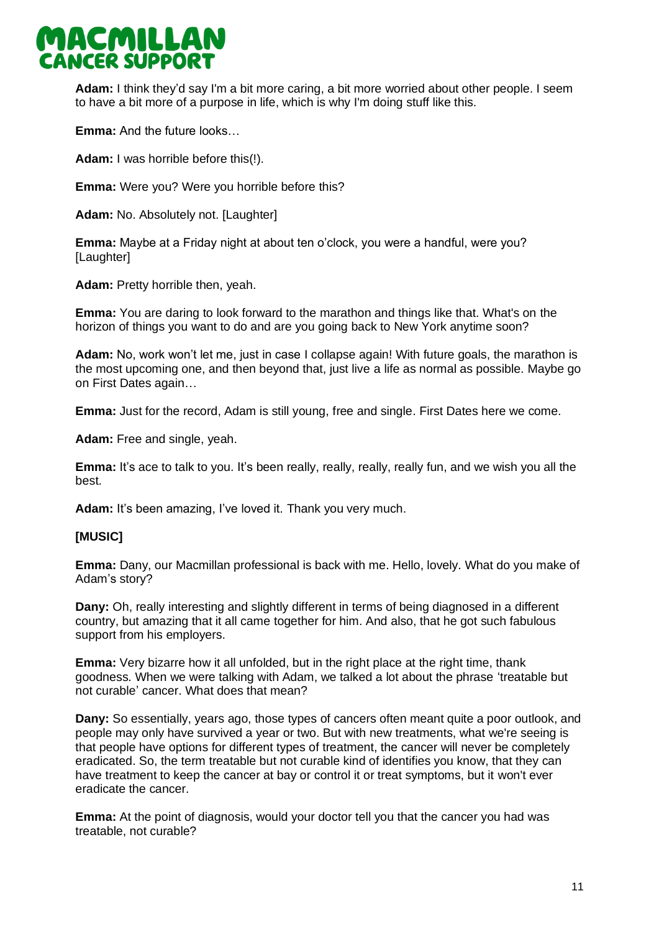

**Adam:** I think they'd say I'm a bit more caring, a bit more worried about other people. I seem to have a bit more of a purpose in life, which is why I'm doing stuff like this.

**Emma:** And the future looks…

**Adam:** I was horrible before this(!).

**Emma:** Were you? Were you horrible before this?

**Adam:** No. Absolutely not. [Laughter]

**Emma:** Maybe at a Friday night at about ten o'clock, you were a handful, were you? [Laughter]

**Adam:** Pretty horrible then, yeah.

**Emma:** You are daring to look forward to the marathon and things like that. What's on the horizon of things you want to do and are you going back to New York anytime soon?

**Adam:** No, work won't let me, just in case I collapse again! With future goals, the marathon is the most upcoming one, and then beyond that, just live a life as normal as possible. Maybe go on First Dates again…

**Emma:** Just for the record, Adam is still young, free and single. First Dates here we come.

**Adam:** Free and single, yeah.

**Emma:** It's ace to talk to you. It's been really, really, really, really fun, and we wish you all the best.

**Adam:** It's been amazing, I've loved it. Thank you very much.

## **[MUSIC]**

**Emma:** Dany, our Macmillan professional is back with me. Hello, lovely. What do you make of Adam's story?

**Dany:** Oh, really interesting and slightly different in terms of being diagnosed in a different country, but amazing that it all came together for him. And also, that he got such fabulous support from his employers.

**Emma:** Very bizarre how it all unfolded, but in the right place at the right time, thank goodness. When we were talking with Adam, we talked a lot about the phrase 'treatable but not curable' cancer. What does that mean?

**Dany:** So essentially, years ago, those types of cancers often meant quite a poor outlook, and people may only have survived a year or two. But with new treatments, what we're seeing is that people have options for different types of treatment, the cancer will never be completely eradicated. So, the term treatable but not curable kind of identifies you know, that they can have treatment to keep the cancer at bay or control it or treat symptoms, but it won't ever eradicate the cancer.

**Emma:** At the point of diagnosis, would your doctor tell you that the cancer you had was treatable, not curable?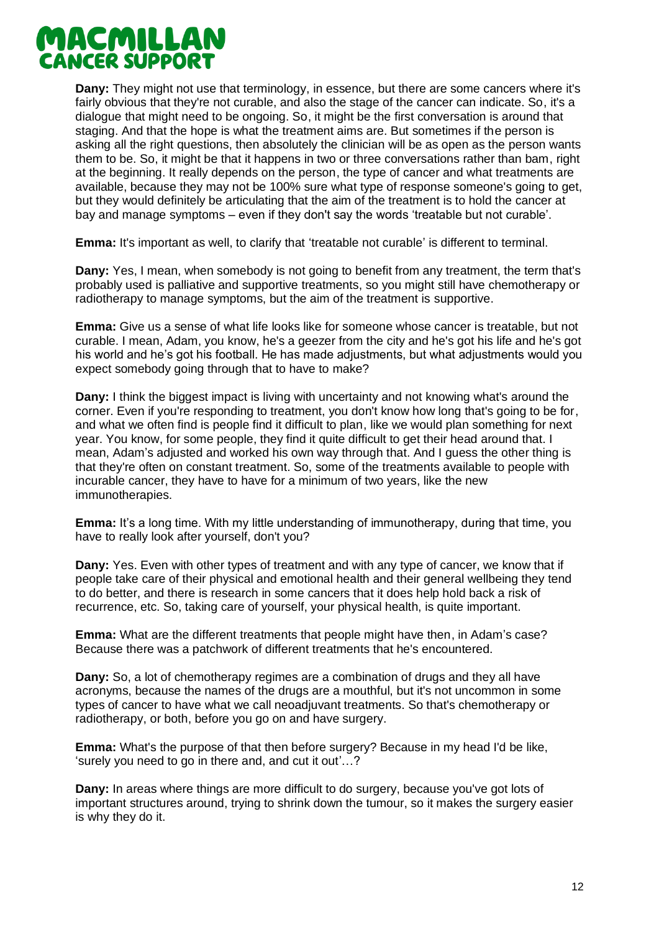## MACMILLAN CANCER SUPPORT

**Dany:** They might not use that terminology, in essence, but there are some cancers where it's fairly obvious that they're not curable, and also the stage of the cancer can indicate. So, it's a dialogue that might need to be ongoing. So, it might be the first conversation is around that staging. And that the hope is what the treatment aims are. But sometimes if the person is asking all the right questions, then absolutely the clinician will be as open as the person wants them to be. So, it might be that it happens in two or three conversations rather than bam, right at the beginning. It really depends on the person, the type of cancer and what treatments are available, because they may not be 100% sure what type of response someone's going to get, but they would definitely be articulating that the aim of the treatment is to hold the cancer at bay and manage symptoms – even if they don't say the words 'treatable but not curable'.

**Emma:** It's important as well, to clarify that 'treatable not curable' is different to terminal.

**Dany:** Yes, I mean, when somebody is not going to benefit from any treatment, the term that's probably used is palliative and supportive treatments, so you might still have chemotherapy or radiotherapy to manage symptoms, but the aim of the treatment is supportive.

**Emma:** Give us a sense of what life looks like for someone whose cancer is treatable, but not curable. I mean, Adam, you know, he's a geezer from the city and he's got his life and he's got his world and he's got his football. He has made adjustments, but what adjustments would you expect somebody going through that to have to make?

**Dany:** I think the biggest impact is living with uncertainty and not knowing what's around the corner. Even if you're responding to treatment, you don't know how long that's going to be for, and what we often find is people find it difficult to plan, like we would plan something for next year. You know, for some people, they find it quite difficult to get their head around that. I mean, Adam's adjusted and worked his own way through that. And I guess the other thing is that they're often on constant treatment. So, some of the treatments available to people with incurable cancer, they have to have for a minimum of two years, like the new immunotherapies.

**Emma:** It's a long time. With my little understanding of immunotherapy, during that time, you have to really look after yourself, don't you?

**Dany:** Yes. Even with other types of treatment and with any type of cancer, we know that if people take care of their physical and emotional health and their general wellbeing they tend to do better, and there is research in some cancers that it does help hold back a risk of recurrence, etc. So, taking care of yourself, your physical health, is quite important.

**Emma:** What are the different treatments that people might have then, in Adam's case? Because there was a patchwork of different treatments that he's encountered.

**Dany:** So, a lot of chemotherapy regimes are a combination of drugs and they all have acronyms, because the names of the drugs are a mouthful, but it's not uncommon in some types of cancer to have what we call neoadjuvant treatments. So that's chemotherapy or radiotherapy, or both, before you go on and have surgery.

**Emma:** What's the purpose of that then before surgery? Because in my head I'd be like, 'surely you need to go in there and, and cut it out'…?

**Dany:** In areas where things are more difficult to do surgery, because you've got lots of important structures around, trying to shrink down the tumour, so it makes the surgery easier is why they do it.